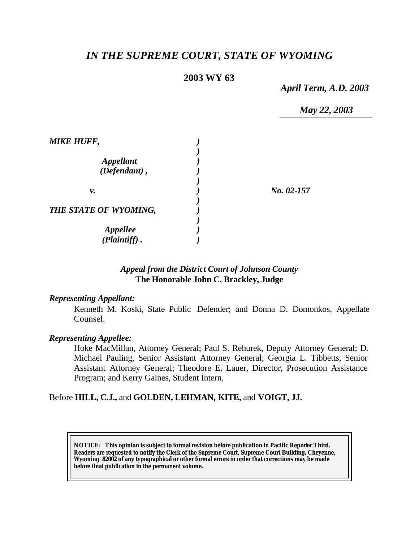# *IN THE SUPREME COURT, STATE OF WYOMING*

# **2003 WY 63**

*April Term, A.D. 2003*

*May 22, 2003*

| <b>MIKE HUFF,</b>     |            |
|-----------------------|------------|
|                       |            |
| <b>Appellant</b>      |            |
| (Defendant),          |            |
|                       |            |
| ν.                    | No. 02-157 |
|                       |            |
| THE STATE OF WYOMING, |            |
|                       |            |
| <b>Appellee</b>       |            |
| (Plaintiff).          |            |

### *Appeal from the District Court of Johnson County* **The Honorable John C. Brackley, Judge**

#### *Representing Appellant:*

Kenneth M. Koski, State Public Defender; and Donna D. Domonkos, Appellate Counsel.

#### *Representing Appellee:*

Hoke MacMillan, Attorney General; Paul S. Rehurek, Deputy Attorney General; D. Michael Pauling, Senior Assistant Attorney General; Georgia L. Tibbetts, Senior Assistant Attorney General; Theodore E. Lauer, Director, Prosecution Assistance Program; and Kerry Gaines, Student Intern.

#### Before **HILL, C.J.,** and **GOLDEN, LEHMAN, KITE,** and **VOIGT, JJ.**

**NOTICE:** *This opinion is subject to formal revision before publication in Pacific Reporter Third. Readers are requested to notify the Clerk of the Supreme Court, Supreme Court Building, Cheyenne, Wyoming 82002 of any typographical or other formal errors in order that corrections may be made before final publication in the permanent volume.*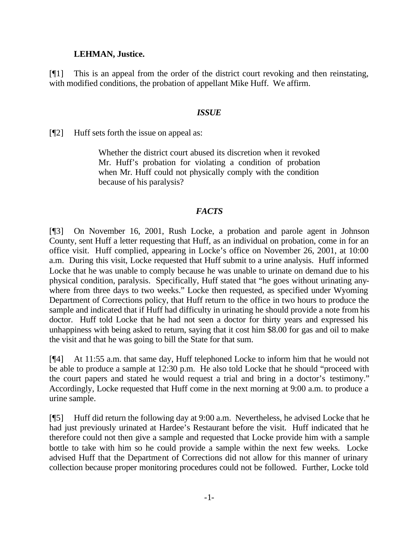### **LEHMAN, Justice.**

[¶1] This is an appeal from the order of the district court revoking and then reinstating, with modified conditions, the probation of appellant Mike Huff. We affirm.

#### *ISSUE*

[¶2] Huff sets forth the issue on appeal as:

Whether the district court abused its discretion when it revoked Mr. Huff's probation for violating a condition of probation when Mr. Huff could not physically comply with the condition because of his paralysis?

#### *FACTS*

[¶3] On November 16, 2001, Rush Locke, a probation and parole agent in Johnson County, sent Huff a letter requesting that Huff, as an individual on probation, come in for an office visit. Huff complied, appearing in Locke's office on November 26, 2001, at 10:00 a.m. During this visit, Locke requested that Huff submit to a urine analysis. Huff informed Locke that he was unable to comply because he was unable to urinate on demand due to his physical condition, paralysis. Specifically, Huff stated that "he goes without urinating anywhere from three days to two weeks." Locke then requested, as specified under Wyoming Department of Corrections policy, that Huff return to the office in two hours to produce the sample and indicated that if Huff had difficulty in urinating he should provide a note from his doctor. Huff told Locke that he had not seen a doctor for thirty years and expressed his unhappiness with being asked to return, saying that it cost him \$8.00 for gas and oil to make the visit and that he was going to bill the State for that sum.

[¶4] At 11:55 a.m. that same day, Huff telephoned Locke to inform him that he would not be able to produce a sample at 12:30 p.m. He also told Locke that he should "proceed with the court papers and stated he would request a trial and bring in a doctor's testimony." Accordingly, Locke requested that Huff come in the next morning at 9:00 a.m. to produce a urine sample.

[¶5] Huff did return the following day at 9:00 a.m. Nevertheless, he advised Locke that he had just previously urinated at Hardee's Restaurant before the visit. Huff indicated that he therefore could not then give a sample and requested that Locke provide him with a sample bottle to take with him so he could provide a sample within the next few weeks. Locke advised Huff that the Department of Corrections did not allow for this manner of urinary collection because proper monitoring procedures could not be followed. Further, Locke told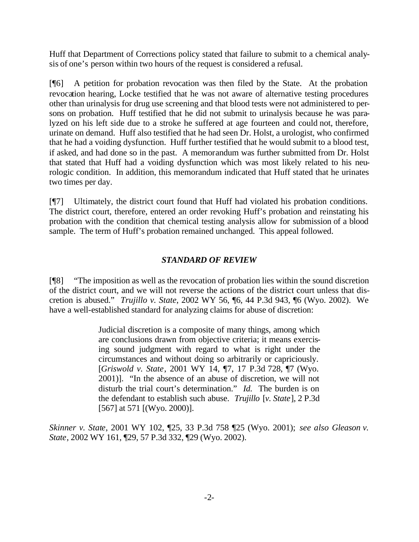Huff that Department of Corrections policy stated that failure to submit to a chemical analysis of one's person within two hours of the request is considered a refusal.

[¶6] A petition for probation revocation was then filed by the State. At the probation revocation hearing, Locke testified that he was not aware of alternative testing procedures other than urinalysis for drug use screening and that blood tests were not administered to persons on probation. Huff testified that he did not submit to urinalysis because he was paralyzed on his left side due to a stroke he suffered at age fourteen and could not, therefore, urinate on demand. Huff also testified that he had seen Dr. Holst, a urologist, who confirmed that he had a voiding dysfunction. Huff further testified that he would submit to a blood test, if asked, and had done so in the past. A memorandum was further submitted from Dr. Holst that stated that Huff had a voiding dysfunction which was most likely related to his neurologic condition. In addition, this memorandum indicated that Huff stated that he urinates two times per day.

[¶7] Ultimately, the district court found that Huff had violated his probation conditions. The district court, therefore, entered an order revoking Huff's probation and reinstating his probation with the condition that chemical testing analysis allow for submission of a blood sample. The term of Huff's probation remained unchanged. This appeal followed.

# *STANDARD OF REVIEW*

[¶8] "The imposition as well as the revocation of probation lies within the sound discretion of the district court, and we will not reverse the actions of the district court unless that discretion is abused." *Trujillo v. State*, 2002 WY 56, ¶6, 44 P.3d 943, ¶6 (Wyo. 2002). We have a well-established standard for analyzing claims for abuse of discretion:

> Judicial discretion is a composite of many things, among which are conclusions drawn from objective criteria; it means exercising sound judgment with regard to what is right under the circumstances and without doing so arbitrarily or capriciously. [*Griswold v. State*, 2001 WY 14, ¶7, 17 P.3d 728, ¶7 (Wyo. 2001)]. "In the absence of an abuse of discretion, we will not disturb the trial court's determination." *Id.* The burden is on the defendant to establish such abuse. *Trujillo* [*v. State*], 2 P.3d [567] at 571 [(Wyo. 2000)].

*Skinner v. State*, 2001 WY 102, ¶25, 33 P.3d 758 ¶25 (Wyo. 2001); *see also Gleason v. State*, 2002 WY 161, ¶29, 57 P.3d 332, ¶29 (Wyo. 2002).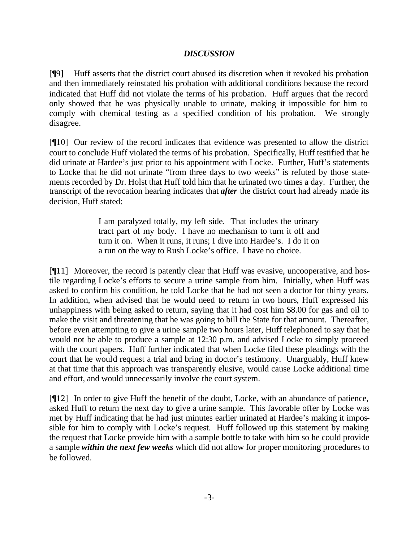## *DISCUSSION*

[¶9] Huff asserts that the district court abused its discretion when it revoked his probation and then immediately reinstated his probation with additional conditions because the record indicated that Huff did not violate the terms of his probation. Huff argues that the record only showed that he was physically unable to urinate, making it impossible for him to comply with chemical testing as a specified condition of his probation. We strongly disagree.

[¶10] Our review of the record indicates that evidence was presented to allow the district court to conclude Huff violated the terms of his probation. Specifically, Huff testified that he did urinate at Hardee's just prior to his appointment with Locke. Further, Huff's statements to Locke that he did not urinate "from three days to two weeks" is refuted by those statements recorded by Dr. Holst that Huff told him that he urinated two times a day. Further, the transcript of the revocation hearing indicates that *after* the district court had already made its decision, Huff stated:

> I am paralyzed totally, my left side. That includes the urinary tract part of my body. I have no mechanism to turn it off and turn it on. When it runs, it runs; I dive into Hardee's. I do it on a run on the way to Rush Locke's office. I have no choice.

[¶11] Moreover, the record is patently clear that Huff was evasive, uncooperative, and hostile regarding Locke's efforts to secure a urine sample from him. Initially, when Huff was asked to confirm his condition, he told Locke that he had not seen a doctor for thirty years. In addition, when advised that he would need to return in two hours, Huff expressed his unhappiness with being asked to return, saying that it had cost him \$8.00 for gas and oil to make the visit and threatening that he was going to bill the State for that amount. Thereafter, before even attempting to give a urine sample two hours later, Huff telephoned to say that he would not be able to produce a sample at 12:30 p.m. and advised Locke to simply proceed with the court papers. Huff further indicated that when Locke filed these pleadings with the court that he would request a trial and bring in doctor's testimony. Unarguably, Huff knew at that time that this approach was transparently elusive, would cause Locke additional time and effort, and would unnecessarily involve the court system.

[¶12] In order to give Huff the benefit of the doubt, Locke, with an abundance of patience, asked Huff to return the next day to give a urine sample. This favorable offer by Locke was met by Huff indicating that he had just minutes earlier urinated at Hardee's making it impossible for him to comply with Locke's request. Huff followed up this statement by making the request that Locke provide him with a sample bottle to take with him so he could provide a sample *within the next few weeks* which did not allow for proper monitoring procedures to be followed.